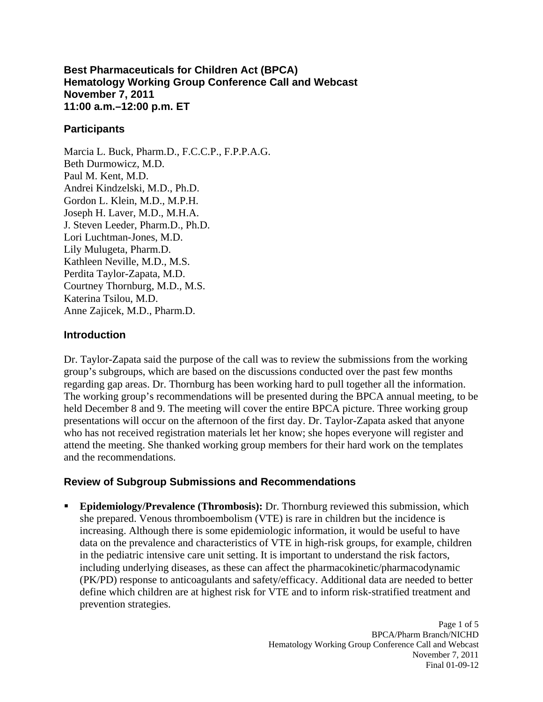### **Best Pharmaceuticals for Children Act (BPCA) Hematology Working Group Conference Call and Webcast November 7, 2011 11:00 a.m.–12:00 p.m. ET**

# **Participants**

Marcia L. Buck, Pharm.D., F.C.C.P., F.P.P.A.G. Beth Durmowicz, M.D. Paul M. Kent, M.D. Andrei Kindzelski, M.D., Ph.D. Gordon L. Klein, M.D., M.P.H. Joseph H. Laver, M.D., M.H.A. J. Steven Leeder, Pharm.D., Ph.D. Lori Luchtman-Jones, M.D. Lily Mulugeta, Pharm.D. Kathleen Neville, M.D., M.S. Perdita Taylor-Zapata, M.D. Courtney Thornburg, M.D., M.S. Katerina Tsilou, M.D. Anne Zajicek, M.D., Pharm.D.

### **Introduction**

Dr. Taylor-Zapata said the purpose of the call was to review the submissions from the working group's subgroups, which are based on the discussions conducted over the past few months regarding gap areas. Dr. Thornburg has been working hard to pull together all the information. The working group's recommendations will be presented during the BPCA annual meeting, to be held December 8 and 9. The meeting will cover the entire BPCA picture. Three working group presentations will occur on the afternoon of the first day. Dr. Taylor-Zapata asked that anyone who has not received registration materials let her know; she hopes everyone will register and attend the meeting. She thanked working group members for their hard work on the templates and the recommendations.

# **Review of Subgroup Submissions and Recommendations**

**Epidemiology/Prevalence (Thrombosis):** Dr. Thornburg reviewed this submission, which she prepared. Venous thromboembolism (VTE) is rare in children but the incidence is increasing. Although there is some epidemiologic information, it would be useful to have data on the prevalence and characteristics of VTE in high-risk groups, for example, children in the pediatric intensive care unit setting. It is important to understand the risk factors, including underlying diseases, as these can affect the pharmacokinetic/pharmacodynamic (PK/PD) response to anticoagulants and safety/efficacy. Additional data are needed to better define which children are at highest risk for VTE and to inform risk-stratified treatment and prevention strategies.

> Page 1 of 5 BPCA/Pharm Branch/NICHD Hematology Working Group Conference Call and Webcast November 7, 2011 Final 01-09-12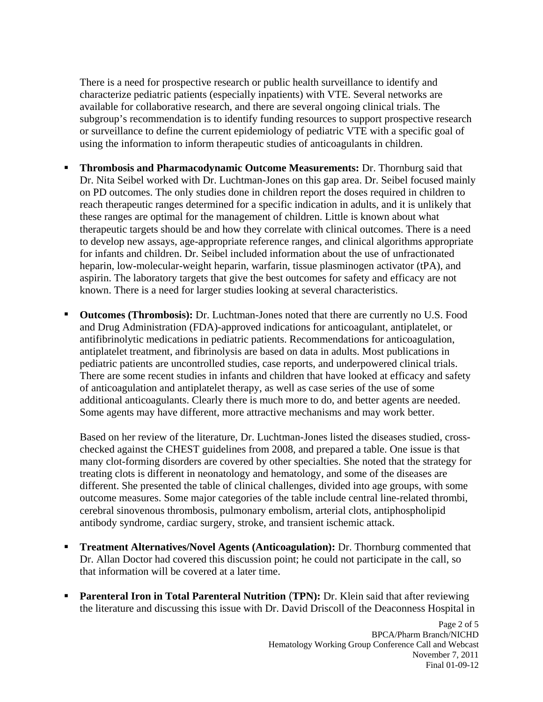There is a need for prospective research or public health surveillance to identify and characterize pediatric patients (especially inpatients) with VTE. Several networks are available for collaborative research, and there are several ongoing clinical trials. The subgroup's recommendation is to identify funding resources to support prospective research or surveillance to define the current epidemiology of pediatric VTE with a specific goal of using the information to inform therapeutic studies of anticoagulants in children.

- **Thrombosis and Pharmacodynamic Outcome Measurements:** Dr. Thornburg said that Dr. Nita Seibel worked with Dr. Luchtman-Jones on this gap area. Dr. Seibel focused mainly on PD outcomes. The only studies done in children report the doses required in children to reach therapeutic ranges determined for a specific indication in adults, and it is unlikely that these ranges are optimal for the management of children. Little is known about what therapeutic targets should be and how they correlate with clinical outcomes. There is a need to develop new assays, age-appropriate reference ranges, and clinical algorithms appropriate for infants and children. Dr. Seibel included information about the use of unfractionated heparin, low-molecular-weight heparin, warfarin, tissue plasminogen activator (tPA), and aspirin. The laboratory targets that give the best outcomes for safety and efficacy are not known. There is a need for larger studies looking at several characteristics.
- **Outcomes (Thrombosis):** Dr. Luchtman-Jones noted that there are currently no U.S. Food and Drug Administration (FDA)-approved indications for anticoagulant, antiplatelet, or antifibrinolytic medications in pediatric patients. Recommendations for anticoagulation, antiplatelet treatment, and fibrinolysis are based on data in adults. Most publications in pediatric patients are uncontrolled studies, case reports, and underpowered clinical trials. There are some recent studies in infants and children that have looked at efficacy and safety of anticoagulation and antiplatelet therapy, as well as case series of the use of some additional anticoagulants. Clearly there is much more to do, and better agents are needed. Some agents may have different, more attractive mechanisms and may work better. ٠

Based on her review of the literature, Dr. Luchtman-Jones listed the diseases studied, cross checked against the CHEST guidelines from 2008, and prepared a table. One issue is that many clot-forming disorders are covered by other specialties. She noted that the strategy for treating clots is different in neonatology and hematology, and some of the diseases are different. She presented the table of clinical challenges, divided into age groups, with some outcome measures. Some major categories of the table include central line-related thrombi, cerebral sinovenous thrombosis, pulmonary embolism, arterial clots, antiphospholipid antibody syndrome, cardiac surgery, stroke, and transient ischemic attack.

- **Treatment Alternatives/Novel Agents (Anticoagulation):** Dr. Thornburg commented that Dr. Allan Doctor had covered this discussion point; he could not participate in the call, so that information will be covered at a later time. ٠
- **Parenteral Iron in Total Parenteral Nutrition** (**TPN):** Dr. Klein said that after reviewing the literature and discussing this issue with Dr. David Driscoll of the Deaconness Hospital in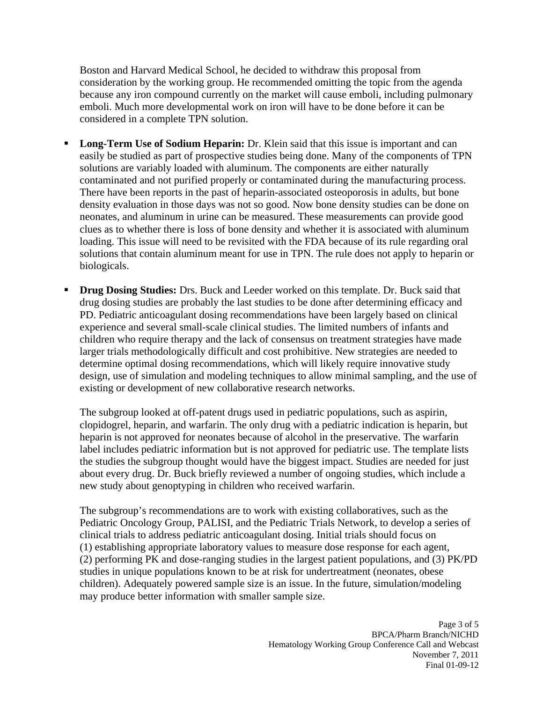Boston and Harvard Medical School, he decided to withdraw this proposal from consideration by the working group. He recommended omitting the topic from the agenda because any iron compound currently on the market will cause emboli, including pulmonary emboli. Much more developmental work on iron will have to be done before it can be considered in a complete TPN solution.

- **Long-Term Use of Sodium Heparin:** Dr. Klein said that this issue is important and can easily be studied as part of prospective studies being done. Many of the components of TPN solutions are variably loaded with aluminum. The components are either naturally contaminated and not purified properly or contaminated during the manufacturing process. There have been reports in the past of heparin-associated osteoporosis in adults, but bone density evaluation in those days was not so good. Now bone density studies can be done on neonates, and aluminum in urine can be measured. These measurements can provide good clues as to whether there is loss of bone density and whether it is associated with aluminum loading. This issue will need to be revisited with the FDA because of its rule regarding oral solutions that contain aluminum meant for use in TPN. The rule does not apply to heparin or biologicals.
- **Drug Dosing Studies:** Drs. Buck and Leeder worked on this template. Dr. Buck said that drug dosing studies are probably the last studies to be done after determining efficacy and PD. Pediatric anticoagulant dosing recommendations have been largely based on clinical experience and several small-scale clinical studies. The limited numbers of infants and children who require therapy and the lack of consensus on treatment strategies have made larger trials methodologically difficult and cost prohibitive. New strategies are needed to determine optimal dosing recommendations, which will likely require innovative study design, use of simulation and modeling techniques to allow minimal sampling, and the use of existing or development of new collaborative research networks.

The subgroup looked at off-patent drugs used in pediatric populations, such as aspirin, clopidogrel, heparin, and warfarin. The only drug with a pediatric indication is heparin, but heparin is not approved for neonates because of alcohol in the preservative. The warfarin label includes pediatric information but is not approved for pediatric use. The template lists the studies the subgroup thought would have the biggest impact. Studies are needed for just about every drug. Dr. Buck briefly reviewed a number of ongoing studies, which include a new study about genoptyping in children who received warfarin.

The subgroup's recommendations are to work with existing collaboratives, such as the Pediatric Oncology Group, PALISI, and the Pediatric Trials Network, to develop a series of clinical trials to address pediatric anticoagulant dosing. Initial trials should focus on (1) establishing appropriate laboratory values to measure dose response for each agent, (2) performing PK and dose-ranging studies in the largest patient populations, and (3) PK/PD studies in unique populations known to be at risk for undertreatment (neonates, obese children). Adequately powered sample size is an issue. In the future, simulation/modeling may produce better information with smaller sample size.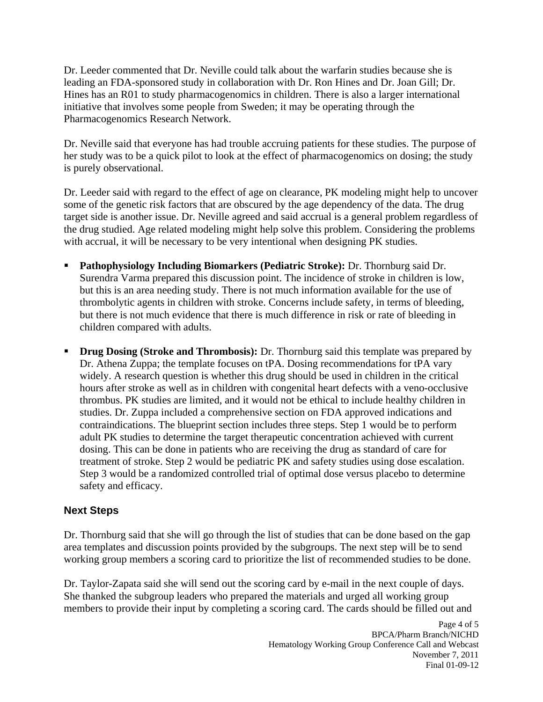Dr. Leeder commented that Dr. Neville could talk about the warfarin studies because she is leading an FDA-sponsored study in collaboration with Dr. Ron Hines and Dr. Joan Gill; Dr. Hines has an R01 to study pharmacogenomics in children. There is also a larger international initiative that involves some people from Sweden; it may be operating through the Pharmacogenomics Research Network.

Dr. Neville said that everyone has had trouble accruing patients for these studies. The purpose of her study was to be a quick pilot to look at the effect of pharmacogenomics on dosing; the study is purely observational.

Dr. Leeder said with regard to the effect of age on clearance, PK modeling might help to uncover some of the genetic risk factors that are obscured by the age dependency of the data. The drug target side is another issue. Dr. Neville agreed and said accrual is a general problem regardless of the drug studied. Age related modeling might help solve this problem. Considering the problems with accrual, it will be necessary to be very intentional when designing PK studies.

- **Pathophysiology Including Biomarkers (Pediatric Stroke):** Dr. Thornburg said Dr. Surendra Varma prepared this discussion point. The incidence of stroke in children is low, but this is an area needing study. There is not much information available for the use of thrombolytic agents in children with stroke. Concerns include safety, in terms of bleeding, but there is not much evidence that there is much difference in risk or rate of bleeding in children compared with adults.
- . **Drug Dosing (Stroke and Thrombosis):** Dr. Thornburg said this template was prepared by Dr. Athena Zuppa; the template focuses on tPA. Dosing recommendations for tPA vary widely. A research question is whether this drug should be used in children in the critical hours after stroke as well as in children with congenital heart defects with a veno-occlusive thrombus. PK studies are limited, and it would not be ethical to include healthy children in studies. Dr. Zuppa included a comprehensive section on FDA approved indications and contraindications. The blueprint section includes three steps. Step 1 would be to perform adult PK studies to determine the target therapeutic concentration achieved with current dosing. This can be done in patients who are receiving the drug as standard of care for treatment of stroke. Step 2 would be pediatric PK and safety studies using dose escalation. Step 3 would be a randomized controlled trial of optimal dose versus placebo to determine safety and efficacy.

# **Next Steps**

Dr. Thornburg said that she will go through the list of studies that can be done based on the gap area templates and discussion points provided by the subgroups. The next step will be to send working group members a scoring card to prioritize the list of recommended studies to be done.

Dr. Taylor-Zapata said she will send out the scoring card by e-mail in the next couple of days. She thanked the subgroup leaders who prepared the materials and urged all working group members to provide their input by completing a scoring card. The cards should be filled out and